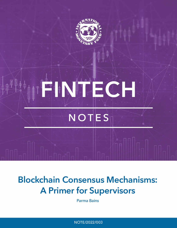

# **Blockchain Consensus Mechanisms: A Primer for Supervisors**

Parma Bains

NOTE/2022/003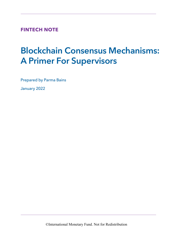**FINTECH NOTE**

# Blockchain Consensus Mechanisms: A Primer For Supervisors

Prepared by Parma Bains

January 2022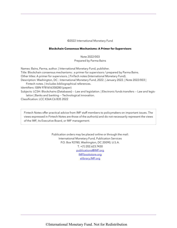#### ©2022 International Monetary Fund

#### **Blockchain Consensus Mechanisms: A Primer for Supervisors**

Note 2022/003 Prepared by Parma Bains

Names: Bains, Parma, author. | International Monetary Fund, publisher. Title: Blockchain consensus mechanisms : a primer for supervisors / prepared by Parma Bains. Other titles: A primer for supervisors. | FinTech notes (International Monetary Fund). Description: Washington, DC : International Monetary Fund, 2022. | January 2022. | Note 2022/003 | Fintech notes. | Includes bibliographical references. Identifiers: ISBN 9781616358280 (paper) Subjects: LCSH: Blockchains (Databases) -- Law and legislation. | Electronic funds transfers -- Law and legislation | Banks and banking -- Technological innovation.

Classification: LCC K564.C6 B35 2022

Fintech Notes offer practical advice from IMF staff members to policymakers on important issues. The views expressed in Fintech Notes are those of the author(s) and do not necessarily represent the views of the IMF, its Executive Board, or IMF management.

> Publication orders may be placed online or through the mail: International Monetary Fund, Publication Services P.O. Box 92780, Washington, DC 20090, U.S.A. T. +(1) 202.623.7430 publications@IMF.org IMFbookstore.org elibrary.IMF.org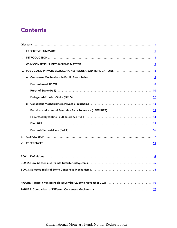# <span id="page-3-0"></span>**Contents**

| L. |  |  |  |  |  |  |  |  |
|----|--|--|--|--|--|--|--|--|
| Ш. |  |  |  |  |  |  |  |  |
|    |  |  |  |  |  |  |  |  |
|    |  |  |  |  |  |  |  |  |
|    |  |  |  |  |  |  |  |  |
|    |  |  |  |  |  |  |  |  |
|    |  |  |  |  |  |  |  |  |
|    |  |  |  |  |  |  |  |  |
|    |  |  |  |  |  |  |  |  |
|    |  |  |  |  |  |  |  |  |
|    |  |  |  |  |  |  |  |  |
|    |  |  |  |  |  |  |  |  |
|    |  |  |  |  |  |  |  |  |
| V. |  |  |  |  |  |  |  |  |
|    |  |  |  |  |  |  |  |  |
|    |  |  |  |  |  |  |  |  |
|    |  |  |  |  |  |  |  |  |
|    |  |  |  |  |  |  |  |  |
|    |  |  |  |  |  |  |  |  |
|    |  |  |  |  |  |  |  |  |
|    |  |  |  |  |  |  |  |  |

[TABLE 1. Comparison of Different Consensus Mechanisms](#page-21-0). 17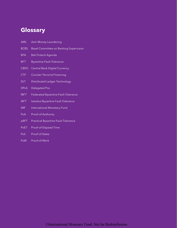# <span id="page-4-0"></span>**[Glossary](#page-3-0)**

- AML Anti–Money Laundering
- **BCBS** Basel Committee on Banking Supervision
- BFA Bali Fintech Agenda
- BFT Byzantine Fault Tolerance
- CBDC Central Bank Digital Currency
- CTF Counter Terrorist Financing
- DLT Distributed Ledger Technology
- DPoS Delegated Pos
- fBFT Federated Byzantine Fault Tolerance
- iBFT Istanbul Byzantine Fault Tolerance
- IMF International Monetary Fund
- PoA Proof-of-Authority
- pBFT Practical Byzantine Fault Tolerance
- PoET Proof-of-Elapsed-Time
- PoS Proof-of-Stake
- PoW Proof-of-Work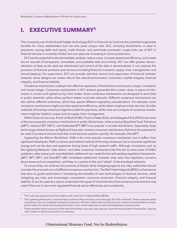## <span id="page-5-0"></span>**I. [EXECUTIVE SUMMARY1](#page-3-0)**

The increasing use of distributed ledger technology (DLT) in financial services has the potential to generate benefits for many stakeholders but can also pose unique risks. DLT, including blockchains, is used in payments, issuing debt and equity, trade finance, and post-trade processes. Large-scale use of DLT in financial services is currently limited, but use cases are increasing in some jurisdictions.

DLT has the potential to disintermediate markets, reduce costs, increase speed and efficiency, and create secure records of transparent, immutable, and auditable data and activity. DLT can offer greater democratization of data as the data are distributed and control of the data is decentralized. It can improve the provision of financial products and services (including financial inclusion), supply chain management, and record keeping. For supervisors, DLT can provide real-time control and supervision of financial markets; however, some designs can create risks to the natural environment, consumers, market integrity, financial integrity, and financial stability.

Consensus mechanisms underpin the effective operation of blockchains and ensure a single, consistent, and honest ledger. Consensus mechanisms in DLT systems guarantee that a state, value, or piece of information is correct and agreed on by most nodes. Some consensus mechanisms are designed to work best in public networks, while others perform better in private networks. Different consensus mechanisms can also deliver different outcomes, which may require different regulatory considerations. For example, some consensus mechanisms might prioritize speed and efficiency, while others might prioritize security. Quicker methods of forming consensus might be suited for payments, while more secure types of consensus mechanisms might be helpful in areas such as supply chain management.

Within financial services, Proof-of-Work (PoW), Proof-of-Stake (PoS), and Delegated PoS (DPoS) are some of the more popular consensus mechanisms in public blockchains, while practical Byzantine Fault Tolerance (pBFT), Istanbul BFT (iBFT), and federated BFT (fBFT) are popular in private blockchains. Separately, large technology entities (known as BigTechs) have also created consensus mechanisms that have the potential to be used in products and services that could become systemic quickly—for example, DiemBFT.

Supporting the Bitcoin Blockchain, PoW is the most popular consensus mechanism, but it suffers from significant drawbacks. PoW is a secure and resilient method of forming consensus, but it consumes significant energy and can be slow and expensive during times of high network traffic. Although innovations such as the Lightning Network, $2$  side chains, $3$  and other consensus mechanisms like PoS aim to solve some of PoW's problems, other issues such as probabilistic settlement can create friction with existing regulatory frameworks. pBFT, iBFT, fBFT, and DiemBFT offer immediate settlement; however, they raise new regulatory concerns about areas such as competition, and they run counter to the core "ideals" of decentralized networks.

To ensure they can embrace the promise of fintech while mitigating against any risks, authorities should consider the pros and cons of different consensus mechanisms. The Bali Fintech Agenda (BFA) is a framework that aims to guide authorities in harnessing the benefits of new technologies in financial services, while mitigating any risks, and encourages competition, consumer protection, financial integrity, and financial stability. It can be used as a way to understand the types of characteristics that consensus mechanisms may need if they are to serve the regulated financial sector effectively and compliantly.

<sup>1</sup> This note was prepared by Parma Bains with input from Fabiana Melo (MCM).

 $2$  The Lightning Network is a second-layer protocol that connects users through off-chain channels. These channels allow connected users to complete multiple transactions off chain, before the transactions are closed out and settled on chain, which makes for faster processing and lower costs—at the expense of reduced transparency and security.

<sup>&</sup>lt;sup>3</sup> These parallel chains connect to the main blockchain via a two-way peg can store the actual data of transaction, leaving main chains to store just proof of correctness.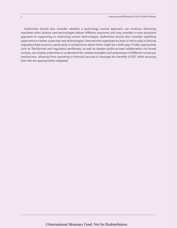Authorities should also consider whether a technology neutral approach can continue delivering mandates when diverse new technologies deliver different outcomes and may consider a more proactive approach to supporting or restricting certain technologies. Authorities should also consider upskilling supervisors to better supervise new technologies. International organizations have a role to play in sharing regulatory best practice, particularly in jurisdictions where there might be a skills gap. Finally, approaches such as TechSprints and regulatory sandboxes, as well as deeper public-private collaboration via formal reviews, can enable authorities to understand the relative strengths and weaknesses of different consensus mechanisms, allowing firms operating in financial services to leverage the benefits of DLT while ensuring that risks are appropriately mitigated.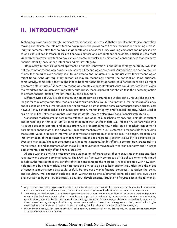### <span id="page-7-0"></span>**II. [INTRODUCTION4](#page-3-0)**

Technology plays an increasingly important role in financial services. With the pace of technological innovation moving ever faster, the role new technology plays in the provision of financial services is becoming increasingly fundamental. New technology can generate efficiencies for firms, lowering costs that can be passed on to end users. It can increase access to financial services and products for consumers, particularly the most vulnerable; however, new technology can also create new risks and unintended consequences that can harm financial stability, consumer protection, and market integrity.

 Regulatory authorities' general approach to financial innovation is one of technology neutrality—which is not the same as technology agnosticism, as not all technologies are equal. Authorities are open to the use of new technologies even as they seek to understand and mitigate any unique risks that these technologies might bring. Although regulatory authorities may be technology neutral (the concept of "same business, same activity, same risk"), they might shift to become technology agnostic (as different technologies might generate different risks).<sup>5</sup> Where new technology creates unacceptable risks that could interfere in achieving the mandates and objectives of regulatory authorities, those organizations should take the necessary action to protect financial stability, market integrity, and consumers.

Different types of DLT, like blockchains, can create new opportunities but also bring unique risks and challenges for regulatory authorities, markets, and consumers. (See Box 1.) Their potential for increasing efficiency and resilience in financial markets has been explored and demonstrated across different products and services; however, they can pose risks to consumer protection, market integrity, and financial integrity. When used at scale or in critical infrastructure that is not substitutable, they can also give rise to financial stability risks.

Consensus mechanisms underpin the effective operation of blockchains by ensuring a single consistent and honest ledger—that is, a truthful representation of the transfer of data. DLT relies on rules hardwired into its source codes to operate, and an important rule is determining how nodes on a blockchain can come to agreements on the state of the network. Consensus mechanisms in DLT systems are responsible for ensuring that a state, value, or piece of information is correct and agreed on by most nodes. The design, creation, and implementation of these consensus mechanisms can impede regulatory authorities' ability to achieve objectives and mandates. These mechanisms can, in some instances, inhibit effective competition, create risks to market integrity and consumers, affect the ability of countries to move to a low-carbon economy, and, in larger deployments, potentially affect financial stability.

Aligned with the BFA, this note provides guidance on different types of consensus mechanisms and their regulatory and supervisory implications. The  $BFA<sup>6</sup>$  is a framework composed of 12 policy elements designed to help authorities harness the benefits of fintech and mitigate the regulatory risks associated with new technologies and business models. This note uses the BFA as a guide to help authorities understand the types of consensus mechanisms that could usefully be deployed within financial services; it considers the policy and regulatory implications of each approach, without going into substantial technical detail. It follows up on previous advice by the IMF, specifically about BFA developments, regulation of crypto assets, digital money,

<sup>4</sup> Any reference to existing crypto assets, distributed networks, and companies in this paper uses publicly available information and does not mean to endorse or analyze specific features of crypto assets, distributed networks or arrangements.

<sup>5</sup> *Technology neutral* denotes an unbiased approach to the use of technology in financial services based on input and outcome; *technology agnostic* refers to an unbiased approach to technology, but one where policies are informed by specific risks generated by the outcomes the technology produces. As technologies become more deeply ingrained in financial services, regulatory authorities may not remain neutral and instead become agnostic to the types of technologies used, taking positions of support or concern depending on the risks and benefits of such technologies.

IMF and World Bank (2018). Although the BFA includes many elements, this note will focus only on the consensus-mechanism aspects of the digital architecture.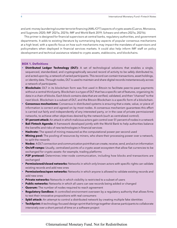<span id="page-8-0"></span>and anti–money laundering/counter terrorist financing (AML/CFT) aspects of crypto assets (Cuervo, Morozova, and Sugimoto 2020; IMF 2021a, 2021b; IMF and World Bank 2019; Schwarz and others 2021a, 2021b).

This primer is designed for financial supervisors at central banks, regulatory authorities, and government departments. It adds to existing literature by summarizing key aspects of popular consensus mechanisms at a high level, with a specific focus on how such mechanisms may impact the mandates of supervisors and policymakers when deployed in financial services markets. It could also help inform IMF staff on policy development and technical assistance related to crypto assets, stablecoins, and blockchains.

#### **BOX [1. Definitions](#page-3-0)**

- **Distributed Ledger Technology (DLT):** A set of technological solutions that enables a single, sequenced, standardized, and cryptographically secured record of activity to be safely distributed to, and acted upon by, a network of varied participants. This record can contain transactions, asset holdings, or identity data. Through nodes, DLT is used to maintain and share digital records instantaneously across a network of participants.
- **Blockchain:** DLT in its blockchain form was first used in Bitcoin to facilitate peer-to-peer payments without a central third party. Blockchain is a type of DLT that has a specific set of features, organizing its data in a chain of blocks. Each block contains data that are verified, validated, and then "chained" to the next block. Blockchain is a subset of DLT, and the Bitcoin Blockchain is a specific form of a blockchain.
- **Consensus mechanisms:** Consensus in distributed systems is ensuring that a state, value, or piece of information is correct and agreed on by most nodes. A consensus mechanism guarantees this effort is carried out fairly and independently of any interested party, or in the case of private permissioned networks, to achieve other objectives desired by the network (such as centralized control).
- **51 percent attack:** An attack in which malicious actors gain control over 51 percent of nodes in a network
- **Bali Fintech Agenda:** A framework developed jointly with the World Bank to help authorities balance the benefits and risks of new technologies in financial services
- **Hashrate:** The speed of mining measured as the computational power per second used
- **Mining pool:** The pooling of resources by miners, who share their processing power over a network, to split the rewards
- **Nodes:** A DLT connection and communication point that can create, receive, send, and act on information
- **On/off-ramps:** Usually, centralized points of a crypto-asset ecosystem that allow fiat currencies to be exchanged for crypto assets—for example, trading platforms
- **P2P protocol:** Determines inter-node communication, including how blocks and transactions are exchanged
- **Permissioned/closed networks:** Networks in which only known actors with specific rights can validate existing records and add new ones
- **Permissionless/open networks:** Networks in which anyone is allowed to validate existing records and add new ones
- **Private networks:** Networks in which visibility is restricted to a subset of users
- **Public networks:** Networks in which all users can see records being added or changed
- **Quorum:** The number of nodes required to reach agreement
- **Regulatory Sandbox:** A controlled environment overseen by a regulatory authority that allows firms to test their innovative propositions with real consumers
- **· Sybil attack:** An attempt to control a distributed network by creating multiple fake identities
- **TechSprint:** A technology-focused design sprint that brings together diverse participants to collaborate intensively over a short period of time on a software project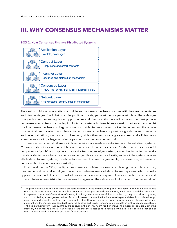# <span id="page-9-0"></span>**III. [WHY CONSENSUS MECHANISMS MATTER](#page-3-0)**

#### **[BOX 2. How Consensus Fits into Distributed Systems](#page-3-0)**



The design of blockchains matters, and different consensus mechanisms come with their own advantages and disadvantages. Blockchains can be public or private, permissioned or permissionless. These designs bring with them unique regulatory opportunities and risks, and this note will focus on the most popular consensus mechanisms that underpin blockchain systems in financial services—it is not an exhaustive list of all consensus mechanisms. Regulators must consider trade-offs when looking to understand the regulatory implications of certain blockchains. Some consensus mechanisms provide a greater focus on security and decentralization (good for record keeping), while others encourage greater speed and efficiency—for example, supporting a larger number of payments transactions per second.

There is a fundamental difference in how decisions are made in centralized and decentralized systems. Consensus aims to solve the problem of how to synchronize data across "nodes," which are powerful computers or "pools" of computers. In a centralized single-ledger system, a coordinating actor can make unilateral decisions and ensure a consistent ledger; this actor can read, write, and audit the system unilaterally. In decentralized systems, distributed nodes need to come to agreements, or a consensus, as there is no central authority to assume responsibility.

First developed in 1982, the Byzantine Generals Problem is a way of explaining the problem of trust, miscommunication, and misaligned incentives between users of decentralized systems, which equally applies to many blockchains.<sup>7</sup> This risk of miscommunication or purposeful malicious actions can be found in blockchains where distributed nodes need to agree on the validation of information. The decentralized

 $7$  The problem focuses on an imagined scenario centered in the Byzantium region of the Eastern Roman Empire. In this scenario, three Byzantine generals and their armies are encamped around an enemy city. Each general and their armies are in separate camps on different sides of the city. For the generals to successfully attack the city, they must all act together, and to do this they must agree on a time of attack; however, communication between the generals is only possible through messengers who must cross from one camp to the other through enemy territory. This approach creates several issues, among them: the messengers could get captured or killed on the way from one camp to another, or they could get captured or killed on their return journey. If they are captured, the enemy might read or change the message, compromising the strategy, which means generals can never be sure that the message received is genuine. It's also possible that one or more generals might be traitors and send false messages.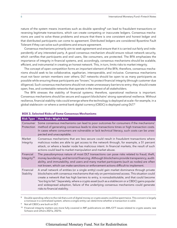nature of the system means incentives such as double spending<sup>8</sup> can lead to fraudulent transactions or reversing legitimate transactions, which can create competing or inaccurate ledgers. Consensus mechanisms are used to solve these problems and ensure that there is one consistent and honest ledger and that distributed participants can come to agreement. Distributed ledgers are considered Byzantine Fault Tolerant if they can solve such problems and ensure agreement.

Consensus mechanisms primarily aim to seek agreement and ensure that it is carried out fairly and independently of any interested party. A good consensus mechanism should ensure robust network security, which certifies that participants and end users, like consumers, are protected. The BFA emphasizes the importance of integrity in financial systems, and, accordingly, consensus mechanisms should be scalable, efficient, and instrumental in creating an honest network. This, in turn, limits risks to market integrity.

The concept of open competition forms an important element of the BFA; therefore, consensus mechanisms should seek to be collaborative, egalitarian, interoperable, and inclusive. Consensus mechanisms must not favor certain members over others; DLT networks should be open to as many participants as possible while ensuring these participants are "known," to protect financial integrity (through customer due diligence). Such consensus mechanisms should not create unnecessary barriers to entry; they should create open, free, and contestable networks that operate in the interest of all stakeholders.

The BFA stresses the stability of financial systems; therefore, operational resilience is important. Consensus mechanisms should be secure and support blockchains' strong operational resilience. Without resilience, financial stability risks could emerge where the technology is deployed at scale—for example, in a global stablecoin–or where a central bank digital currency (CBDC) is deployed using DLT.<sup>9</sup>

| <b>Risk Type</b>                     | <b>How Risks Might Arise</b>                                                                                                                                                                                                                                                                                                                                                                                                                                                                                                  |
|--------------------------------------|-------------------------------------------------------------------------------------------------------------------------------------------------------------------------------------------------------------------------------------------------------------------------------------------------------------------------------------------------------------------------------------------------------------------------------------------------------------------------------------------------------------------------------|
| Consumer<br>Protection               | Some consensus mechanisms can lead to poor outcomes for consumers if the mechanisms'<br>method of generating consensus leads to slow transactions times or high transaction costs.<br>In cases where consumers are vulnerable or lack technical literacy, such costs can be unex-<br>pected and unacceptable.                                                                                                                                                                                                                 |
| Market<br>Integrity                  | Consensus mechanisms that are less secure could result in fraudulent transactions where<br>malicious nodes are able to get access to the network through, for example, a 51 percent<br>attack, or where a leader node has malicious intent. In financial markets, the result of such<br>actions could lead to market manipulation and market abuse.                                                                                                                                                                           |
| Financial<br>Integrity <sup>10</sup> | The pseudonymous nature of most DLT transactions can pose risks related to fraud, theft,<br>money laundering, and terrorist financing. Although blockchains provide transparency, audit-<br>ability, and immutability, end users and many market participants (such as nodes) are often<br>not known, which can make sanctions or enforcement actions difficult to implement.                                                                                                                                                 |
| Financial<br>Stability               | A small network of entities (or a single entity) could gain market dominance through private<br>blockchains with consensus mechanisms that rely on permissioned access. This situation could<br>create a network that has high barriers to entry, is nonsubstitutable, and that could become<br>too big to fail." Separately, where a crypto asset (such as a stablecoin or a CBDC) gains popular"<br>and widespread adoption, failure of the underlying consensus mechanisms could generate<br>risks to financial stability. |
|                                      |                                                                                                                                                                                                                                                                                                                                                                                                                                                                                                                               |

#### **BOX [3. Selected Risks of Some Consensus Mechanisms](#page-3-0)**

Double spending refers to the risk that a unit of digital money or crypto assets could be spent twice. This concern is largely a nonissue in a centralized system, where a single entity can determine whether a transaction is valid.

<sup>10</sup> Financial integrity matters are more fully covered in IMF publications on AML/CFT issues related to crypto assets; see Schwarz and others 2021a, 2021b.

<span id="page-10-0"></span>

Not all CBDCs are built on DLT.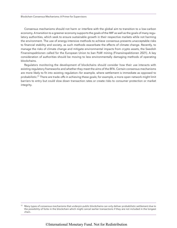Consensus mechanisms should not harm or interfere with the global aim to transition to a low-carbon economy. A transition to a greener economy supports the goals of the IMF as well as the goals of many regulatory authorities, which seek to ensure sustainable growth in their respective markets while not harming the environment. The use of energy-intensive methods to achieve consensus presents unacceptable risks to financial stability and society, as such methods exacerbate the effects of climate change. Recently, to manage the risks of climate change and mitigate environmental impacts from crypto assets, the Swedish Finansinspektionen called for the European Union to ban PoW mining (Finansinspektionen 2021). A key consideration of authorities should be moving to less environmentally damaging methods of operating blockchains.

Regulators monitoring the development of blockchains should consider how their use interacts with existing regulatory frameworks and whether they meet the aims of the BFA. Certain consensus mechanisms are more likely to fit into existing regulation—for example, where settlement is immediate as opposed to probabilistic.11 There are trade-offs in achieving these goals; for example, a more open network might limit barriers to entry but could slow down transaction rates or create risks to consumer protection or market integrity.

<sup>&</sup>lt;sup>11</sup> Many types of consensus mechanisms that underpin public blockchains can only deliver probabilistic settlement due to the possibility of forks in the blockchain which might cancel earlier transactions if they are not included in the longest chain.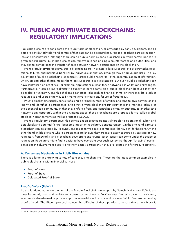# <span id="page-12-0"></span>**IV. [PUBLIC AND PRIVATE BLOCKCHAINS:](#page-3-0)  REGULATORY IMPLICATIONS**

Public blockchains are considered the "pure" form of blockchain, as envisaged by early developers, and so data are distributed widely and control of that data can be decentralized. Public blockchains are permissionless and decentralized, although there can be public-permissioned blockchains in which certain nodes are given specific rights. Such blockchains can remove reliance on single counterparties and authorities, and they aim to democratize the transfer of data between network participants on the blockchain.

From a regulatory perspective, public blockchains are, in principle, less susceptible to cyberattacks, operational failures, and malicious behavior by individuals or entities, although they bring unique risks. The key advantage of public blockchains—specifically, larger public networks—is the decentralization of information, which, among other things, makes them less susceptible to cyberattacks. But even public blockchains can have centralized points of risk—for example, applications built on those networks like wallets and exchanges. Furthermore, it can be more difficult to supervise participants on a public blockchain because they can be global or unknown, and this challenge can pose risks such as financial crime, or there may be a lack of recourse to end users or no way to fix market errors should any failure or fraud occur.

Private blockchains usually consist of a single or small number of entities and tend to give permissions to known and identifiable participants. In this way, private blockchains run counter to the intended "ideals" of the decentralized community in that they shift risk from one centralized entity or authority to another (the network administrators). Within the payments space, these blockchains are proposed for so-called global stablecoin arrangements as well as proposed CBDCs.

From a regulatory perspective, this centralization creates points vulnerable to operational, cyber, and default risk and potential failure—but some important regulatory benefits remain. On the one hand, a private blockchain can be altered by its owner, and it also forms a more centralized "honey pot" for hackers. On the other hand, in blockchains where participants are known, they are more easily captured by existing or new regulatory frameworks, and blockchain developers and crypto-asset issuers can come under the scope of regulation. Regulators might find it easier to have oversight over such systems (although "knowing" participants doesn't always make supervising them easier, particularly if they are located in offshore jurisdictions).

#### **A. [Consensus Mechanisms in Public Blockchains](#page-3-0)**

There is a large and growing variety of consensus mechanisms. These are the most common examples in public blockchains within financial services:

- Proof-of-Work
- Proof-of-Stake
- Delegated Proof-of-Stake

#### **Proof-of-Work (PoW)12**

As the fundamental underpinning of the Bitcoin Blockchain developed by Satoshi Nakamoto, PoW is the most frequently used and well-known consensus mechanism. PoW involves "nodes" solving complicated, asymmetrical mathematical puzzles to produce new blocks in a process known as "mining"—thereby showing proof of work. The Bitcoin protocol adjusts the difficulty of these puzzles to ensure that a new block is

<sup>&</sup>lt;sup>12</sup> Well-known use cases are Bitcoin, Litecoin, and Dogecoin.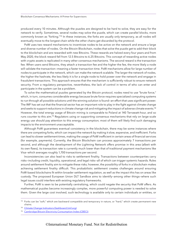produced every 10 minutes. Although the puzzles are designed to be hard to solve, they are easy for the network to verify. Sometimes, several nodes may solve the puzzle, which can create parallel blocks, more commonly known as "forking."13 In these instances, the forks are usually only temporary, as all nodes will eventually move to the longest chain while the other chains get discarded by the protocol.

PoW uses two reward mechanisms to incentivize nodes to be active on the network and ensure a large and diverse number of nodes. On the Bitcoin Blockchain, nodes that solve the puzzle get to add their block to the blockchain and are rewarded with new Bitcoins. These rewards are halved every four years and from May 2020, the block reward fell from 12.5 Bitcoins to 6.25 Bitcoins. This concept of rewarding active nodes with crypto assets is replicated in many other consensus mechanisms. The second reward is the transaction fee. When users send Bitcoins, they attach a transaction fee and the higher the fee, the more likely a node will validate the transaction—meaning a faster transaction time. PoW mechanisms allow for large number of nodes to participate in the network, which can make the network scalable. The larger the network of nodes, the higher the hashrate, the less likely it is for a single node to hold power over the network and engage in fraudulent transactions. This approach ensures that the mechanism is sufficiently robust to ensure network security. From a regulatory perspective, nevertheless, the lack of control in terms of who can enter and participate in the system can be a problem.

To solve the mathematical puzzles generated by the Bitcoin protocol, nodes need to use "brute force," which, in turn, consumes considerable energy because brute force requires specialized computing systems to run through all possible solutions until the winning solution is found—an effort that uses significant power. The IMF has set out that the financial sector has an important role to play in the fight against climate change and seeks to support reductions in climate change risk and mitigating the impact of adverse climate events.14 However, the total energy usage of Bitcoin mining is comparable to Poland at 140 Terrawatt-hour, and so runs counter to this aim.15 Regulators using or supporting consensus mechanisms that rely on large-scale energy use should pay attention to this energy consumption; most of them will likely find such damaging impacts to the environment unacceptable.

Although PoW guarantees eventual consistency in the blockchain, there may be some instances where there are competing forks, which can impact the network by making it slow, expensive, and inefficient. Forks can lead to slower settlement times, making the usage of PoW inefficient in certain areas of financial services (for example, payments). Currently, the Bitcoin Blockchain can process approximately 7 transactions per second, and although the development of the Lightning Network offers promise in this area (albeit with its own flaws), its transaction rate is currently much lower than that of traditional payment mechanisms like Visa—which averages roughly 1,700 transactions per second.

Inconsistencies can also lead to risks to settlement finality. Transactions between counterparties carry risks—including credit, liquidity, operational, and legal risks—all of which can trigger systemic hazards. Rules around settlement finality aim to mitigate these risks; however, the possibility of forks in a blockchain makes achieving settlement finality difficult. This probabilistic settlement creates challenges around ensuring PoW-based blockchains fit within broader settlement regulation, as well as the impact this has on areas like custody. The proposed European Union DLT Sandbox aims to identify—among other things—where such legal issues could interfere with existing regulatory frameworks.

Further, PoW is seen to be potentially centralizing, which could negate the security that PoW offers. As mathematical puzzles become increasingly complex, more powerful computing power is needed to solve them. Given the large cost involved, such technology is available only to certain individuals or entities, or

 $13$  Forks can be "soft," which are backward compatible and temporary in nature, or "hard," which create permanent new chains.

<sup>14</sup> [Climate Change Indicators Dashboard \(imf.org\)](https://climatedata.imf.org/)

<sup>15</sup> [Cambridge Bitcoin Electricity Consumption Index \(CBECI\)](https://ccaf.io/cbeci/index)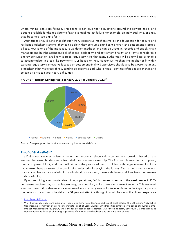<span id="page-14-0"></span>where mining pools are formed. This scenario can give rise to questions around the powers, tools, and options available for the regulator to fix an eventual market failure (for example, an individual who, or entity that, becomes "too big to fail").

Authorities should note that although PoW consensus mechanisms lay the foundation for secure and resilient blockchain systems, they can be slow, they consume significant energy, and settlement is probabilistic. PoW is one of the most secure validation methods and can be useful in records and supply chain management, but the attendant lack of speed, scalability, and settlement finality—and PoW's considerable energy consumption—are likely to pose regulatory risks that many authorities will be unwilling or unable to accommodate in areas like payments. DLT based on PoW consensus mechanisms might not fit within existing regulatory frameworks focused on settlement finality. Supervisors should also be aware that many blockchains that make use of PoW tend to be decentralized, where not all identities of nodes are known, and so can give rise to supervisory difficulties.



[FIGURE 1. Bitcoin Mining Pools Janaury 2021 to January 202216](#page-3-0)

Source: One-year pool distribution calculated by blocks from BTC.com.

#### **[Proof-of-Stake \(PoS\)17](#page-3-0)**

In a PoS consensus mechanism, an algorithm randomly selects validators for block creation based on the amount that token holders stake from their crypto-asset ownership. The first step is selecting a proposer, then a proposed block, and then validation of the proposed block. Holders with larger ownership of the native token have a greater chance of being selected—like playing the lottery. Even though everyone who buys a ticket has a chance of winning and selection is random, those with the most tickets have the greatest odds of winning.

By not requiring energy-intensive mining operations, PoS improves on some of the weaknesses in PoW consensus mechanisms, such as large energy consumption, while preserving network security. This lessened energy consumption also means a lower need to issue many new coins to incentivize nodes to participate in the network. It also limits the risks of a 51 percent attack: although it would be very difficult and expensive

<sup>16</sup> [Pool Stats - BTC.com](https://btc.com/stats/pool)

<sup>17</sup> Well-known use cases are Cardano, Tezos, and Ethereum (announced—as of publication, the Ethereum Network is transitioning from Proof-of-Work consensus to Proof-of-Stake). Ethereum's transition aims to solve issues of environmental impact, transaction throughput, and aims for greater decentralization. Over the long term, Ethereum 2.0 might reduce transaction fees through sharding—a process of splitting the database and creating new chains.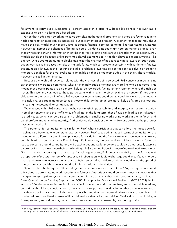for anyone to carry out a successful 51 percent attack in a large PoW-based blockchain, it is even more expensive to do it in a large PoS-based one.

Given that nodes aren't working to solve complex mathematical problems and there are fewer validating nodes, transaction rates can be increased—but settlement issues remain. A greater transaction throughput makes the PoS model much more useful in certain financial services contexts, like facilitating payments; however, to increase the chances of being selected, validating nodes might vote on multiple blocks—even those whose underlying information might be incorrect, creating risks around broader market integrity. PoS models can do this because, unlike PoW models, validating nodes in PoS don't have to expend anything (like energy). While voting on multiple blocks maximizes the chances of nodes receiving a reward through transaction fees, it also increases the risks of multiple forks, which can create uncertainty with settlement finality; this situation is known as the "Nothing at Stake" problem. Newer models of PoS seek to solve it by creating monetary penalties for the work validators do on blocks that do not get included in the chain. These models, however, are still in their infancy.

Because ownership directly correlates with the chances of being selected, PoS consensus mechanisms can theoretically create a community where richer individuals or entities are more likely to be selected. This means those participants are also more likely to be rewarded, fueling an environment where the rich get richer. This scenario can lead to those participants with smaller holdings exiting the network if they aren't able to generate rewards. In effect, PoS consensus mechanisms could create conditions where the network isn't inclusive, as certain members (that is, those with larger holdings) are more likely be favored over others, increasing the potential for centralization.

Weaknesses within PoS consensus mechanisms might impact stability and integrity, such as centralization in smaller networks and the inefficiency of staking. In the long term, these flaws can lead to centralizationrelated issues, which can be particularly problematic in smaller networks or networks in their infancy—and can therefore impact market integrity. Authorities could consider elements like sandboxing to help protect nascent networks.18

The potential for centralization is similar for PoW, where participants that can afford the most powerful machines are better able to generate rewards; however, PoW-based advantages in terms of centralization are based on the different nature of the capital used for validation and the friction to switch between the currency and the hardware and electricity. Even in larger PoS networks, the potential for validator cartels to form can lead to concerns around centralization, while exchanges and wallet providers could also theoretically exercise disproportionate control given their large holdings. PoS is also inefficient in its use of network-native resources. Given that crypto assets might be locked up for staking purposes, PoS removes the ability to transfer or spend a proportion of the total number of crypto assets in circulation. A liquidity shortage could arise if token holders hoard their tokens to increase their chance of being selected as validators; this act would lower the speed of transaction rates, and the network could suffer from the lack of circulation.

Safeguarding the integrity of financial systems is an important aspect of the BFA, so regulators should think about appropriate network security and fairness. Authorities should consider those frameworks that incorporate appropriate systems and controls to mitigate against cyber and operational risks, such as the Basel Committee on Banking Supervision (BCBS) Principles for Operational Resilience (BCBS 2021). In line with the BFA elements on improving financial inclusion and ensuring open, free, and contestable markets, authorities should also consider how to work with market participants developing these networks to ensure that they are as inclusive and collaborative as possible and that these networks do not work to benefit a small privileged group and lead to areas of financial markets that lack contestability. Finally, due to the Nothing at Stake problem, authorities may want to pay attention to the risks created by competing chains.

<sup>18</sup> In PoS, security improves with scalability; therefore, until they achieve sufficient scale, nascent networks might benefit from proof-of-concept to proof-of-value–style controlled environments, such as certain types of sandboxes.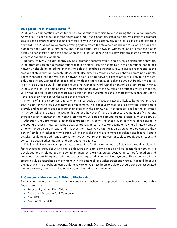#### <span id="page-16-0"></span>**[Delegated Proof-of-Stake \(DPoS\)19](#page-3-0)**

DPoS adds a democratic element to the PoS consensus mechanism by outsourcing the validation process. As with PoS, block validation is randomized, and individuals or entities (stakeholders) who stake the greatest amount of a particular crypto asset are more likely to win the opportunity to validate a block and generate a reward. The DPoS model operates a voting system where the stakeholders chosen to validate a block can outsource their work to a third party. These third parties are known as "witnesses" and are responsible for achieving consensus during the generation and validation of new blocks. Rewards are shared between the witnesses and the stakeholders.

Benefits of DPoS include energy savings, greater decentralization, and positive participant behaviors. DPoS promotes greater democratization: all token holders can play some role in the operationalization of a network. It should be noted that in many models of blockchains that use DPoS, voting is proportional to the amount of stake that participants place. DPoS also aims to promote positive behaviors from participants. Those witnesses that add value to a network and are good network citizens are more likely to be repeatedly voted in; any witness that loses credibility, doesn't participate, or looks to carry out fraudulent activity is likely to be voted out. This process ensures that witnesses work with the network's best interests in mind. DPoS also makes use of "delegates" who are voted on to govern the system and propose any core changes. Like witnesses, delegates are placed into position through voting—and they can be removed through voting if they are seen not to serve the needs of the network.

In terms of financial services, and payments in particular, transaction rates are likely to be quicker in DPoS than in both PoW and PoS due to network engagement. This is because witnesses are likely to participate more actively and at greater speed to retain their position in the community. Witnesses are also likely to be limited in number, which increases transaction throughput; however, if there are an excessive number of validators, there is a greater risk that the network will slow down. So, a balance around greater scalability must be struck.

Although DPoS promotes greater decentralization, in some instances, such as where participation in the voting process is low, concerns about centralization can arise. For example, having a limited number of token holders could impact and influence the network. As with PoS, DPoS stakeholders can use their power from larger stakes to form cartels, which can make the network more centralized and less resilient to attacks—resulting in both regulatory authorities without relevant powers or tools to rectify such issues and concerns about market integrity and operational resilience.

DPoS is relatively new, yet it provides opportunities for firms to generate efficiencies through a relatively fast transaction throughput and can be delivered in both permissioned and permissionless networks. If developed and implemented in a compliant manner, DPoS can create positive outcomes for markets and consumers by providing interesting use cases in regulated activities, like payments. This is because it can create a truly decentralized environment with the potential for quicker transaction rates. That said, because the mechanism has not been tested as long as PoW or PoS have been, regulators should consider associated network-security risks, cartel-like behavior, and limited voter participation.

#### **[B. Consensus Mechanisms in Private Blockchains](#page-3-0)**

This section covers the most common consensus mechanisms deployed in private blockchains within financial services:

- Practical Byzantine Fault Tolerance
- Federated Byzantine Fault Tolerance
- DiemBFT
- Proof-of-Elapsed-Time

<sup>19</sup> Well-known use cases are EOS, Ark, BitShares, and Tezos.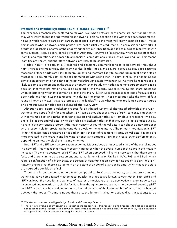#### <span id="page-17-0"></span>**[Practical and Istanbul Byzantine Fault Tolerance \(pBFT/iBFT\)20](#page-3-0)**

The consensus mechanisms explored so far work well when network participants are not trusted—that is, they work well with public or permissionless networks. This next section deals with those consensus mechanisms in which network participants are trusted; pBFT is among the most well-known examples. pBFT works best in cases where network participants are at least partially trusted—that is, in permissioned networks. It predates blockchains in terms of the underlying theory, but it has been applied to blockchain networks with some success. It can be considered a Proof-of-Authority (PoA) type of mechanism where nodes stake their identity and reputation, as opposed to a financial or computational stake such as PoW and PoS. This means identities are known, and therefore networks are likely to be centralized.

Nodes in pBFT are sequentially ordered and constantly communicating to keep network throughput high. There is one main node, also known as the "leader" node, and several backup nodes. pBFT assumes that some of these nodes are likely to be fraudulent and therefore likely to be sending out malicious or false messages. To counter this act, all nodes communicate with each other. The aim is that all the honest nodes come to an agreement on the state of the network through a majority consensus. As more honest nodes are likely to come to agreement on the state of a network than fraudulent nodes coming to agreement on a false decision, incorrect information should be rejected by the majority. Nodes in the system share messages when determining whether to commit a block to the chain. This ensures that a message came from a specific peer node and that it wasn't tampered with during transmission. These messages take the form of four rounds, known as "views," that are proposed by the leader.<sup>21</sup> If a view has gone on too long, nodes can agree on a timeout. Leader nodes can be changed after every view.

Although pBFT is a pre-blockchain proposal for distributed systems, slightly modified for blockchain, iBFT was developed specifically for blockchain. iBFT can be thought of as a type of pBFT consensus mechanism with some modifications. Rather than using leaders and backup nodes, iBFT employs "proposers" who play a role like leaders and validators who play roles like backup nodes, in that they can validate blocks but play no role in the consensus protocol. After each consensus round, the validators can choose a new proposer who is responsible for providing the candidate block for the next interval. The primary modification in iBFT is that validators can be removed or added; in pBFT the set of validators is static. So, validators in iBFT are more invested in the network and likely more honest and engaged. iBFT may create lower barriers to entry depending on how the blockchain is implemented.

Both iBFT and pBFT work where fraudulent or malicious nodes do not exceed a third of the overall nodes in a network. This means that network security increases when the overall number of nodes in the network increases. The main advantage of pBFT and iBFT when deployed in financial services is that there are no forks and there is immediate settlement and so settlement finality. Unlike in PoW, PoS, and DPoS, which require confirmation of a block state, the stream of communication between nodes on a pBFT and iBFT network ensures that there is agreement on the state of a network at a specific time, which means the state of an agreed-upon block is final.

There is little energy consumption when compared to PoW-based networks, as there are no miners working to solve complicated mathematical puzzles and nodes are known to each other. Both pBFT and iBFT can lower the need for and variance of rewards, as decisions are made collectively; every node can be incentivized and rewarded in a similar fashion. Even though more nodes mean more network security, pBFT and iBFT work best when node numbers are limited because of the large number of messages exchanged between the nodes. The more nodes there are, the longer it takes for actions (like transactions) to be

<sup>20</sup> Well-known use cases are Hyperledger Fabric and Consensys Quorum.

 $21$  These views involve a client sending a request to the leader node; this request being broadcast to backup nodes; the nodes acting on this request, voting between themselves, and then replying to the client; and then finally the client waiting for replies from different nodes, ensuring the result is the same.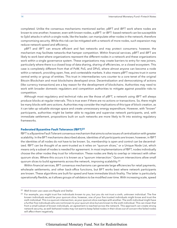<span id="page-18-0"></span>completed. Unlike the consensus mechanisms mentioned earlier, pBFT and iBFT work where nodes are known to one another; however, even with known nodes, a pBFT- or iBFT- based network can be susceptible to Sybil attacks in which a single node, like the leader, can manipulate other nodes in the network, therefore compromising security. While this risk can be mitigated with a network of more nodes, such expansion may reduce network speed and efficiency.

pBFT and iBFT can ensure efficient and fast networks and may protect consumers; however, the mechanism may facilitate networks that hamper competition. Within financial services, pBFT and iBFT are likely to work best where organizations represent the different nodes in a network and these organizations work within a single governance system. These organizations may create barriers to entry for new joiners, particularly where there is a closed loop of data sharing, sharing of efficiencies, or a closed ecosystem. This case is completely different from that of PoW, PoS, and DPoS, where almost anyone can become a node within a network, providing open, free, and contestable markets. It also means pBFT requires trust in some central entity or group of entities. This trust in intermediaries runs counter to a core tenet of the original Bitcoin Blockchain and most blockchains developed since. Decentralization and democratizing of actions (like currency transactions) are a key reason for the development of blockchains. Authorities may need to work with broader domestic regulators and competition authorities to mitigate against possible risks to competition.

Although most regulatory and technical risks are like those of pBFT, a network using iBFT will always produce blocks at regular intervals. This is true even if there are no actions or transactions. So, there might be many blocks with zero actions. Authorities may consider the implications of this type of block creation, as it can take up valuable storage space and create unnecessary energy expenditure. However, with "known" participants, authorities might be better able to regulate and supervise network participants, and, with immediate settlement, propositions built on such networks are more likely to fit into existing regulatory frameworks.

#### **[Federated Byzantine Fault Tolerance \(fBFT\)22](#page-3-0)**

fBFT is a Byzantine Fault Tolerant consensus mechanism that aims to solve issues of centralization with greater scalability. In the BFT mechanisms described above, identities of all participants are known; however, in fBFT the identities of all nodes do not have to be known. So, membership is open and control can be decentralized. fBFT can be thought of as semi-trusted as it relies on "quorum slices," or a Unique Node List, which means only a subset of nodes is needed for agreement. In most implementations of fBFT, nodes individually choose the other nodes they trust for information. These nodes are likely to overlap or intersect with other quorum slices. Where this occurs it is known as a "quorum intersection." Quorum intersections allow small quorum slices to build agreements across the network, improving scalability.23

Within financial services, BFT consensus mechanisms can generate large efficiencies for retail payments, wholesale settlements, and other back-office functions, but BFT works best where network participants are known. These algorithms are built for speed and have immediate block finality. The latter is particularly operationally flexible, as it allows groups of validators to be modified over time. With increasing scale, speed

<sup>22</sup> Well-known use cases are Ripple and Stellar.

<sup>&</sup>lt;sup>23</sup> For example, you might trust five individuals known to you, but you do not trust a sixth, unknown individual. The five known individuals would be your quorum slice; however, one of your five trusted individuals might know and trust the sixth individual. This is a quorum intersection, as your quorum slice overlaps with another. The sixth individual might have a further five individuals who are not known to your quorum slice but are known to the sixth individual. This can mean that from a small subset of known individuals, an agreement is reached across the network. This approach can create strong network security, as well-behaved nodes may not want to keep failed nodes in their slices out of concern the failed nodes will affect them negatively.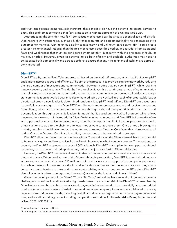<span id="page-19-0"></span>and trust can become compromised; therefore, these models do have the potential to create barriers to entry. This problem is something that fBFT aims to solve with its approach of a Unique Node List.

Authorities might consider how fBFT consensus mechanisms can balance a decentralized and distributed network with efficiencies, such as a high transaction rate and settlement finality, to generate positive outcomes for markets. With its unique ability to mix known and unknown participants, fBFT could create greater risks to financial integrity than the BFT mechanisms described earlier, and it suffers from additional flaws and weaknesses that must be considered (most notably, in security, with the presence of faulty or malicious nodes). However, given its potential to be both efficient and scalable, authorities may need to collaborate both domestically and across borders to ensure that any risks to financial stability are appropriately mitigated.

#### **[DiemBFT24](#page-3-0)**

DiemBFT is a Byzantine Fault Tolerant protocol based on the HotStuff protocol, which itself builds on pBFT and aims to increase speed and efficiency. The aim of the protocol is to provide a quicker network by reducing the large number of messages and communication between nodes that are seen in pBFT, while retaining network security and accuracy. The HotStuff protocol achieves this goal through a type of communication that relies more heavily on the leader node, rather than on communication between all nodes, creating a star communication network. Security is also enhanced using the HotStuff approach of unpredictable leader election whereby a new leader is determined randomly. Like pBFT, HotStuff and DiemBFT are based on a leader/follower paradigm. In the DiemBFT Diem Network, members act as nodes and receive transactions from clients, which are communicated with others through a shared mempool.<sup>25</sup> Nodes can rotate and become leaders through a dynamic leadership model that is based on the HotStuff protocol, which allows these rotations to occur within rounds (or "views") with minimum timeouts, and DiemBFT builds on this effort with a pacemaker mechanism to ensure every round has an upper time limit. Leaders propose new blocks of transactions to add to the chain and follower nodes vote to approve them. Once a node block gets a majority vote from the follower nodes, the leader node creates a Quorum Certificate that is broadcast to all nodes. Once the Quorum Certificate is verified, transactions can be committed to storage.

DiemBFT allows for faster transaction throughput. Transactions on the Diem Network have the potential to be relatively quick and low cost. Unlike the Bitcoin Blockchain, which can only process 7 transactions per second, the DiemBFT proposes to process 1,000 at launch. DiemBFT is also planning to support additional resources, such as decentralized applications, rather than just transferring Diem stablecoins.

However, the DiemBFT has several drawbacks that can impact competition as well as create issues around data and privacy. When used as part of the Diem stablecoin proposition, DiemBFT is a centralized network where nodes must commit at least \$10 million to join and have access to appropriate computing hardware. And while these sunk costs reduce the incentive for those nodes to then become malicious, they create concerns around barriers to entry and market contestability, which run counter to the BFA's aims. DiemBFT also relies on only a few counterparties (the nodes) as well as the leader node in each "view."

Given the development of the DiemBFT by a "BigTech," authorities have several unique and important challenges to consider. In addition to the high barriers to entry, the potential of the DiemBFT, when utilized by Diem Network members, to become a systemic payment infrastructure due to a potentially large embedded userbase (that is, service users of existing network members) may require extensive collaboration among regulatory authorities worldwide, including both financial services regulators to manage payments related risks, and non-financial regulators including competition authorities for broader risks (Bains, Sugimoto, and Wilson 2022; IMF 2021c).

<sup>24</sup> A well-known use case is Diem.

<sup>&</sup>lt;sup>25</sup> A mempool is used to store information such as unconfirmed transactions that are waiting to get validated.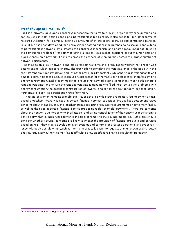#### <span id="page-20-0"></span>**[Proof-of-Elapsed-Time \(PoET\)26](#page-3-0)**

PoET is a privately developed consensus mechanism that aims to prevent large energy consumption and can be used in both permissioned and permissionless blockchains. It also seeks to limit other forms of resource utilization—for example, locking up amounts of crypto assets as stakes and centralizing rewards. Like fBFT, it has been developed for a permissioned setting but has the potential to be scalable and extend to permissionless networks. Intel created this consensus mechanism and offers a ready-made tool to solve the computing problem of randomly selecting a leader. PoET makes decisions about mining rights and block winners on a network; it aims to spread the chances of winning fairly across the largest number of network participants.

Each node on a PoET network generates a random wait time and is required to wait for their chosen wait time to expire, which can save energy. The first node to complete the wait time—that is, the node with the shortest randomly generated wait time—wins the new block. Importantly, while the node is waiting for its wait time to expire, it goes to sleep, so it can use its processor for other tasks or no tasks at all, therefore limiting energy consumption. Intel's ready-made tool ensures that networks using its mechanism can both generate random wait times and ensure the random wait time is genuinely fulfilled. PoET solves the problems with energy consumption, the potential centralization of rewards, and concerns about random leader selection. Furthermore, it can keep transaction rates fairly high.

That said, settlement remains probabilistic. Issues can arise with existing regulatory regimes when a PoETbased blockchain network is used in certain financial services capacities. Probabilistic settlement raises concerns about the ability of such blockchains to meet existing regulatory requirements on settlement finality as well as their use in certain financial service propositions (for example, payments). There are concerns about the network's vulnerability to Sybil attacks, and giving centralization of the consensus mechanism to a third party (that is, Intel) runs counter to the goal of removing trust in intermediaries. Authorities should consider whether security concerns are likely to impact the provision of financial products and services based on PoET; they should develop relevant systems and controls for greater operational and cyber resilience. Although a single entity (such as Intel) is theoretically easier to regulate than unknown or distributed entities, regulatory authorities may find it difficult to draw an effective financial regulatory perimeter.

<sup>26</sup> A well-known use case is Hyperledger Sawtooth.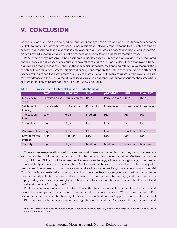# <span id="page-21-0"></span>**V. [CONCLUSION](#page-3-0)**

Consensus mechanisms are deployed depending on the type of operation a particular blockchain network is likely to carry out. Mechanisms used in permissionless networks tend to focus to a greater extent on security and ensuring that consensus is achieved among untrusted nodes. Mechanisms used in permissioned networks sacrifice decentralization for settlement finality and quicker transaction rates.

PoW is too energy intensive to be considered a viable consensus mechanism involving many regulated financial services activities. It runs counter to several of the IMF's aims, particularly those that involve transitioning to a greener economy. Although the mechanism is secure, resilient, and offers true democratization of data within distributed systems, significant energy consumption, the nature of forking, and the attendant issues around probabilistic settlement are likely to create friction with many regulatory frameworks, regulatory mandates, and the BFA. Some of these issues are also apparent in other consensus mechanisms where settlement is likely to be probabilistic—like PoS, DPoS, and PoET.

|                | <b>PoW</b>         | PoS/DPoS       | <b>PoET</b>          | pBFT/iBFT    | <b>fBFT</b> | <b>DiemBFT</b> |
|----------------|--------------------|----------------|----------------------|--------------|-------------|----------------|
| Blockchain     | Permissionless     | Permissionless | <b>Both</b>          | Permissioned | <b>Both</b> | <b>Both</b>    |
| <b>Type</b>    |                    |                |                      |              |             |                |
| Settlement     | Probabilistic      | Probabilistic  | <b>Probabilistic</b> | Immediate    | Immediate   | Immediate      |
| Finality       |                    |                |                      |              |             |                |
| Transaction    | Low                | High           | Medium               | High         | High        | High           |
| Rate           |                    |                |                      |              |             |                |
| Scalability    | High <sup>27</sup> | High           | High                 | Low          | High        | High           |
|                |                    |                |                      |              |             |                |
| Contestability | High               | High           | High                 | Low          | Medium      | Low            |
| Environmental  | High               | Medium         | Low                  | Low          | Low         | Low            |
| Impact         |                    |                |                      |              |             |                |
| Security       | High               | High           | Medium               | Medium       | Medium      | Medium         |

#### [TABLE 1. Comparison of Different Consensus Mechanisms](#page-3-0)

These issues are generally solved by closed network consensus mechanisms, but they introduce new risks and run counter to blockchain principles of disintermediation and decentralization. Mechanisms such as pBFT, iBFT, DiemBFT, and PoET are designed to be quick and energy efficient, although some of them suffer from scalability and access problems. These (and similar) mechanisms are more likely to be deployed in financial services where participants are known and are likely to be used in global stablecoins and potential CBDCs, which can create risks to financial stability. These mechanisms can give rise to risks around competition and contestability where networks are closed and barriers to entry are high, and if such networks deploy widely used products (like global stablecoins), a lack of competition and substitutability could lead to networks that are "too big to fail."

Public-private collaboration might better allow authorities to monitor developments in the market and ensure the development of compliant business models in financial services. Where development of DLT is small or nonsystemic, authorities might decide to take a "wait and see" approach. Where development of DLT operates at a larger scale, authorities might take a "test and learn" approach through outreach and

<sup>&</sup>lt;sup>27</sup> While the PoW can be expandable and so scalable, it does not necessarily mean that increased volumes will reduce the cost of each transaction.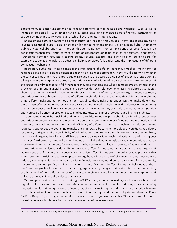engagement, to better understand the risks and benefits as well as additional variables. Such variables include interoperability with other financial systems, emerging standards across financial institutions, or support by major industry leaders, all of which have regulatory implications.

Engagement between authorities and industry can happen through short-term engagements, using "business as usual" supervision, or through longer term engagement, via innovation hubs. Short-term public-private collaboration can happen through joint events or commissioned surveys focused on consensus mechanisms; longer term collaboration can be through joint research, experiments, and testing. Partnership between regulators, technologists, security experts, and other relevant stakeholders (for example, academia and industry bodies) can help supervisors fully understand the implications of different consensus mechanisms.

Regulatory authorities should consider the implications of different consensus mechanisms in terms of regulation and supervision and consider a technology agnostic approach. They should determine whether the consensus mechanisms are appropriate in relation to the desired outcomes of a specific proposition. By taking a technology agnostic approach, authorities can work with market participants to better understand the strengths and weaknesses of different consensus mechanisms and where comparative advantages in the provision of different financial products and services (for example, payments, issuing debt/equity, supply chain management, record of activity) might exist. Through shifting to a technology agnostic approach, authorities remain unbiased to the use of different technologies but recognize that different technologies bring different risks and authorities are not "neutral" to these risks. Authorities can then make determinations on specific technologies. Utilizing the BFA as a framework, regulators with a deeper understanding of these consensus mechanisms can better contextualize whether they are likely to encourage competition and increase efficiency—or create risks to market integrity, consumer protection, and financial stability.

Supervisors should be upskilled and, where possible, trained experts should be hired to better help authorities understand consensus mechanisms so that supervisors can ask firms pertinent questions and make accurate judgments on the risk and efficiency of different consensus mechanisms. Although many regulatory authorities are beginning to make the shift toward becoming more data-driven digital regulators resources, budgets, and the availability of skilled supervisors remain a challenge for many of them. Here, international organizations like the IMF have a role to play in providing technical assistance and sharing best practices. Furthermore, standard-setting bodies can help by developing global recommendations that can provide minimum requirements for consensus mechanisms when utilized in regulated financial entities.

Authorities could also consider utilizing tools such as TechSprints to better understand the strengths and weaknesses of different types of consensus mechanisms. TechSprints are short collaborative programs that bring together participants to develop technology-based ideas or proof of concepts to address specific industry challenges. Participants can be within financial services, but they can also come from academia, government, and nonprofit organizations, among others. Programs like TechSprints can help move authorities from being technology neutral to technology agnostic; they can give authorities a better understanding, at a high level, of how different types of consensus mechanisms are likely to impact the development and delivery of certain financial products or services.

Where a proposition based on a certain type of DLT is ready to enter the market, regulatory sandboxes and digital sandboxes can better allow authorities to understand specific benefits and risks, thereby fostering innovation while mitigating dangers to financial stability, market integrity, and consumer protection. In many cases, the choice of consensus mechanisms used either by regulated entities or by the regulator itself in a SupTech<sup>28</sup> capacity is a long-term decision: once you select it, you're stuck with it. This choice requires more formal reviews and collaboration involving many actors of the ecosystem.

<sup>&</sup>lt;sup>28</sup> SupTech refers to Supervisory Technology, or the use of new technology to support the objectives of authorities.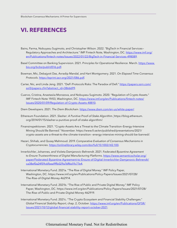### <span id="page-23-0"></span>**VI. [REFERENCES](#page-3-0)**

- Bains, Parma, Nobuyasu Sugimoto, and Christopher Wilson. 2022. "BigTech in Financial Services― Regulatory Approaches and Architecture." IMF Fintech Note, Washington, DC. [https://www.imf.org/](https://www.imf.org/en/Publications/fintech-notes/Issues/2022/01/22/BigTech-in-Financial-Services-498089
) [en/Publications/fintech-notes/Issues/2022/01/22/BigTech-in-Financial-Services-498089.](https://www.imf.org/en/Publications/fintech-notes/Issues/2022/01/22/BigTech-in-Financial-Services-498089)
- Basel Committee on Banking Supervision. 2021. *Principles for Operational Resilience.* March. [https://www.](https://www.bis.org/bcbs/publ/d516.pdf) [bis.org/bcbs/publ/d516.pdf.](https://www.bis.org/bcbs/publ/d516.pdf)
- Bowman, Mic, Debajyoti Das, Avradip Mandal, and Hart Montgomery. 2021. *On Elapsed Time Consensus Protocols*. [https://eprint.iacr.org/2021/086.pdf.](https://eprint.iacr.org/2021/086.pdf)
- Carter, Nic, and Linda Jeng. 2021. "DeFi Protocols Risks: The Paradox of Defi." [https://papers.ssrn.com/](https://papers.ssrn.com/sol3/papers.cfm?abstract_id=3866699) [sol3/papers.cfm?abstract\\_id=3866699](https://papers.ssrn.com/sol3/papers.cfm?abstract_id=3866699).
- Cuervo, Cristina, Anastasiia Morozova, and Nobuyasu Sugimoto. 2020. "Regulation of Crypto Assets." IMF Fintech Note 19/03, Washington, DC. [https://www.imf.org/en/Publications/fintech-notes/](https://www.imf.org/en/Publications/fintech-notes/Issues/2020/01/09/Regulation-of-Crypto-Assets-48810) [Issues/2020/01/09/Regulation-of-Crypto-Assets-48810.](https://www.imf.org/en/Publications/fintech-notes/Issues/2020/01/09/Regulation-of-Crypto-Assets-48810)
- Diem Developers. 2021. *The Diem Blockchain*. <https://www.diem.com/en-us/white-paper/>.
- Ethereum Foundation. 2021. *Slasher: A Punitive Proof-of-Stake Algorithm.* [https://blog.ethereum.](https://blog.ethereum.org/2014/01/15/slasher-a-punitive-proof-of-stake-algorithm/) [org/2014/01/15/slasher-a-punitive-proof-of-stake-algorithm/.](https://blog.ethereum.org/2014/01/15/slasher-a-punitive-proof-of-stake-algorithm/)
- Finansinspektionen. 2021. "Crypto-Assets Are a Threat to the Climate Transition–Energy-Intensive Mining Should Be Banned." November[. https://www.fi.se/en/published/presentations/2021/](https://www.fi.se/en/published/presentations/2021/crypto-assets-are-a-threat-to-the-climate-transition--energy-intensive-mining-should-be-banned/) [crypto-assets-are-a-threat-to-the-climate-transition--energy-intensive-mining-should-be-banned/](https://www.fi.se/en/published/presentations/2021/crypto-assets-are-a-threat-to-the-climate-transition--energy-intensive-mining-should-be-banned/).
- Hazari, Shihab, and Qusay Mahmoud. 2019. *Comparative Evaluation of Consensus Mechanisms in Cryptocurrencies*. <https://onlinelibrary.wiley.com/doi/full/10.1002/itl2.100>.
- Innerbichler, Johannes, and Violeta Damjanovic-Behrendt. 2021. F*ederated Byzantine Agreement to Ensure Trustworthiness of Digital Manufacturing Platforms*. [https://www.semanticscholar.org/](https://www.semanticscholar.org/paper/Federated-Byzantine-Agreement-to-Ensure-of-Digital-Innerbichler-Damjanovic-Behrendt/ca38ef0a24f59c6fbea9ffb029a76ff6d1fc77e4) [paper/Federated-Byzantine-Agreement-to-Ensure-of-Digital-Innerbichler-Damjanovic-Behrendt/](https://www.semanticscholar.org/paper/Federated-Byzantine-Agreement-to-Ensure-of-Digital-Innerbichler-Damjanovic-Behrendt/ca38ef0a24f59c6fbea9ffb029a76ff6d1fc77e4) [ca38ef0a24f59c6fbea9ffb029a76ff6d1fc77e4.](https://www.semanticscholar.org/paper/Federated-Byzantine-Agreement-to-Ensure-of-Digital-Innerbichler-Damjanovic-Behrendt/ca38ef0a24f59c6fbea9ffb029a76ff6d1fc77e4)
- International Monetary Fund. 2021a. "The Rise of Digital Money." IMF Policy Paper, Washington, DC. [https://www.imf.org/en/Publications/Policy-Papers/Issues/2021/07/28/](https://www.imf.org/en/Publications/Policy-Papers/Issues/2021/07/28/The-Rise-of-Digital-Money-462914) [The-Rise-of-Digital-Money-462914](https://www.imf.org/en/Publications/Policy-Papers/Issues/2021/07/28/The-Rise-of-Digital-Money-462914).
- International Monetary Fund. 2021b. "The Rise of Public and Private Digital Money." IMF Policy Paper, Washington, DC. [https://www.imf.org/en/Publications/Policy-Papers/Issues/2021/07/28/](https://www.imf.org/en/Publications/Policy-Papers/Issues/2021/07/28/The-Rise-of-Public-and-Private-D) [The-Rise-of-Public-and-Private-Digital-Money-462919.](https://www.imf.org/en/Publications/Policy-Papers/Issues/2021/07/28/The-Rise-of-Public-and-Private-D)
- International Monetary Fund. 2021c. "The Crypto Ecosystem and Financial Stability Challenges." *Global Financial Stability Report*, chap. 2, October. [https://www.imf.org/en/Publications/GFSR/](https://www.imf.org/en/Publications/GFSR/Issues/2021/10/12/global-financial-stability-report-october-2021) [Issues/2021/10/12/global-financial-stability-report-october-2021.](https://www.imf.org/en/Publications/GFSR/Issues/2021/10/12/global-financial-stability-report-october-2021)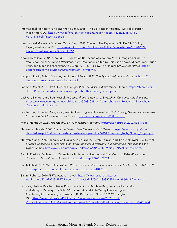- International Monetary Fund and World Bank. 2018. "The Bali Fintech Agenda." IMF Policy Paper, Washington, DC. [https://www.imf.org/en/Publications/Policy-Papers/Issues/2018/10/11/](https://www.imf.org/en/Publications/Policy-Papers/Issues/2018/10/11/pp101118-bali-fintech-agenda) [pp101118-bali-fintech-agenda](https://www.imf.org/en/Publications/Policy-Papers/Issues/2018/10/11/pp101118-bali-fintech-agenda).
- International Monetary Fund and World Bank. 2019. "Fintech: The Experience So Far." IMF Policy Paper, Washington, DC. [https://www.imf.org/en/Publications/Policy-Papers/Issues/2019/06/27/](https://www.imf.org/en/Publications/Policy-Papers/Issues/2019/06/27/Fintech-The-Experience-So-Far-47056) [Fintech-The-Experience-So-Far-47056](https://www.imf.org/en/Publications/Policy-Papers/Issues/2019/06/27/Fintech-The-Experience-So-Far-47056).
- Koops, Bert-Jaap. 2006. "Should ICT Regulation Be Technology-Neutral?" In *Starting Points for ICT Regulation. Deconstructing Prevalent Policy One-liners*, edited by Bert-Jaap Koops, Miriam Lips, Corien Prins, and Maurice Schellekens, vol. 9, pp. 77-108. IT & Law, The Hague: T.M.C. Asser Press. [https://](https://papers.ssrn.com/sol3/papers.cfm?abstract_id=918746) [papers.ssrn.com/sol3/papers.cfm?abstract\\_id=918746.](https://papers.ssrn.com/sol3/papers.cfm?abstract_id=918746)
- Lamport, Leslie, Robert Shostak, and Marshall Peace. 1982. *The Byzantine Generals Problem*. [https://](https://lamport.azurewebsites.net/pubs/byz.pdf) [lamport.azurewebsites.net/pubs/byz.pdf.](https://lamport.azurewebsites.net/pubs/byz.pdf)
- Larimer, Daniel. 2021. *DPOS Consensus Algorithm–The Missing White Paper.* Steemit. [https://steemit.com/](https://steemit.com/dpos/@dantheman/dpos-consensus-algorithm-this-missing-white-paper) [dpos/@dantheman/dpos-consensus-algorithm-this-missing-white-paper](https://steemit.com/dpos/@dantheman/dpos-consensus-algorithm-this-missing-white-paper).
- Lashkari, Bahareh, and Petr Musilek. *A Comprehensive Review of Blockchain Consensus Mechanisms*. https://www.researchgate.net/publication/350031088 A Comprehensive Review of Blockchain [Consensus\\_Mechanisms](https://www.researchgate.net/publication/350031088_A_Comprehensive_Review_of_Blockchain_Consensus_Me).
- Li, Chenxing, Li Peilin, Dong Zhou, Wei Xu, Fan Long, and Andrew Yao. 2021. *Scaling Nakamoto Consensus to Thousands of Transactions per Second*.<https://arxiv.org/pdf/1805.03870.pdf>.
- Moniz, Henrique. 2021. *The Istanbul BFT Consensus Algorithm*. [https://arxiv.org/pdf/2002.03613.pdf.](https://arxiv.org/pdf/2002.03613.pdf)
- Nakamoto, Satoshi. 2008. *Bitcoin: A Peer-to-Peer Electronic Cash System*. [https://www.ussc.gov/sites/](https://www.ussc.gov/sites/default/files/pdf/training/annual-national-training-seminar/2018/Emerging_Tech_Bitcoin_Crypto.pdf) [default/files/pdf/training/annual-national-training-seminar/2018/Emerging\\_Tech\\_Bitcoin\\_Crypto.pdf](https://www.ussc.gov/sites/default/files/pdf/training/annual-national-training-seminar/2018/Emerging_Tech_Bitcoin_Crypto.pdf).
- Nguyen, Cong, Dinh Hoang, Diep Nguyen, Dusit Niyato, Huynh Nguyen, and, Eric Dutkiewicz. 2021. *Proofof-Stake Consensus Mechanisms for Future Blockchain Networks: Fundamentals, Applications and Opportunities*.<https://opus.lib.uts.edu.au/bitstream/10453/134920/1/FINAL%20Article.pdf>.
- Sadek, Ferdous, Mohammad Chowdhury, Mohammad Hoque, and Alan Colman. 2020. *Blockchain Consensus Algorithms: A Survey.* <https://arxiv.org/pdf/2001.07091.pdf>.
- Saleh, Fahad. 2021. *Blockchain without Waste: Proof-of-Stake, Review of Financial Studies.* SSRN 34:1156–90 [https://papers.ssrn.com/sol3/papers.cfm?abstract\\_id=3183935](https://papers.ssrn.com/sol3/papers.cfm?abstract_id=3183935).
- Saltini, Roberto. 2019. *IBFT Liveness Analysis*. [https://www.researchgate.net/](https://www.researchgate.net/publication/334696723_IBFT_Liveness_Analysis/link/5d3aa89392851cd04686dce8/download) [publication/334696723\\_IBFT\\_Liveness\\_Analysis/link/5d3aa89392851cd04686dce8/download.](https://www.researchgate.net/publication/334696723_IBFT_Liveness_Analysis/link/5d3aa89392851cd04686dce8/download)
- Schwarz, Nadine, Ke Chen, Kristel Poh, Grace Jackson, Kathleen Kao, Francisca Fernando, and Maksym Markevych. 2021a. "Virtual Assets and Anti-Money Laundering and Combating the Financing of Terrorism (1)." IMF Fintech Note 21/02, Washington, DC. [https://www.imf.org/en/Publications/fintech-notes/Issues/2021/10/14/](https://www.imf.org/en/Publications/fintech-notes/Issues/2021/10/14/Virtual-Assets-and-Anti-Money-Laundering-and-Combating-the-Financing-of-Terrorism-1-463654) [Virtual-Assets-and-Anti-Money-Laundering-and-Combating-the-Financing-of-Terrorism-1-463654.](https://www.imf.org/en/Publications/fintech-notes/Issues/2021/10/14/Virtual-Assets-and-Anti-Money-Laundering-and-Combating-the-Financing-of-Terrorism-1-463654)